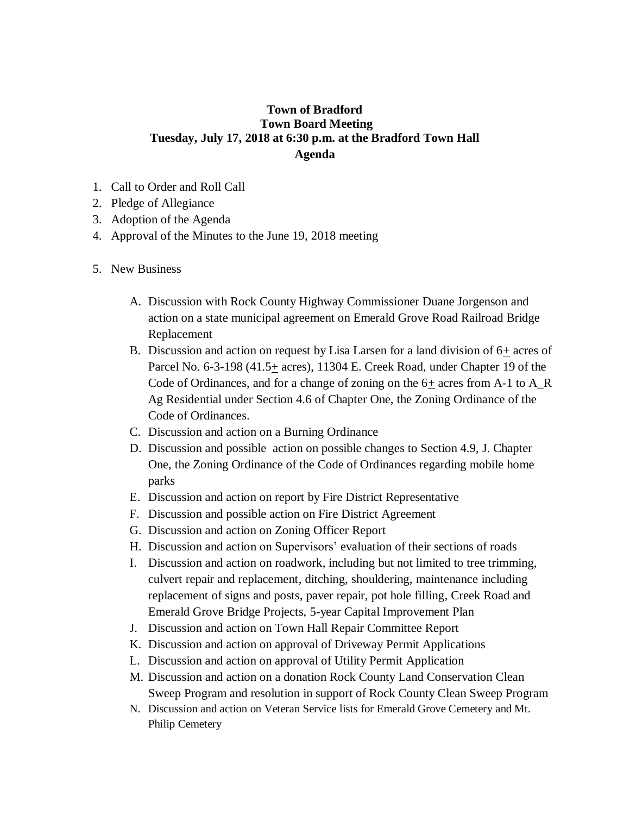## **Town of Bradford Town Board Meeting Tuesday, July 17, 2018 at 6:30 p.m. at the Bradford Town Hall Agenda**

- 1. Call to Order and Roll Call
- 2. Pledge of Allegiance
- 3. Adoption of the Agenda
- 4. Approval of the Minutes to the June 19, 2018 meeting
- 5. New Business
	- A. Discussion with Rock County Highway Commissioner Duane Jorgenson and action on a state municipal agreement on Emerald Grove Road Railroad Bridge Replacement
	- B. Discussion and action on request by Lisa Larsen for a land division of  $6<sub>±</sub>$  acres of Parcel No. 6-3-198 (41.5 $\pm$  acres), 11304 E. Creek Road, under Chapter 19 of the Code of Ordinances, and for a change of zoning on the  $6\pm$  acres from A-1 to A\_R Ag Residential under Section 4.6 of Chapter One, the Zoning Ordinance of the Code of Ordinances.
	- C. Discussion and action on a Burning Ordinance
	- D. Discussion and possible action on possible changes to Section 4.9, J. Chapter One, the Zoning Ordinance of the Code of Ordinances regarding mobile home parks
	- E. Discussion and action on report by Fire District Representative
	- F. Discussion and possible action on Fire District Agreement
	- G. Discussion and action on Zoning Officer Report
	- H. Discussion and action on Supervisors' evaluation of their sections of roads
	- I. Discussion and action on roadwork, including but not limited to tree trimming, culvert repair and replacement, ditching, shouldering, maintenance including replacement of signs and posts, paver repair, pot hole filling, Creek Road and Emerald Grove Bridge Projects, 5-year Capital Improvement Plan
	- J. Discussion and action on Town Hall Repair Committee Report
	- K. Discussion and action on approval of Driveway Permit Applications
	- L. Discussion and action on approval of Utility Permit Application
	- M. Discussion and action on a donation Rock County Land Conservation Clean Sweep Program and resolution in support of Rock County Clean Sweep Program
	- N. Discussion and action on Veteran Service lists for Emerald Grove Cemetery and Mt. Philip Cemetery